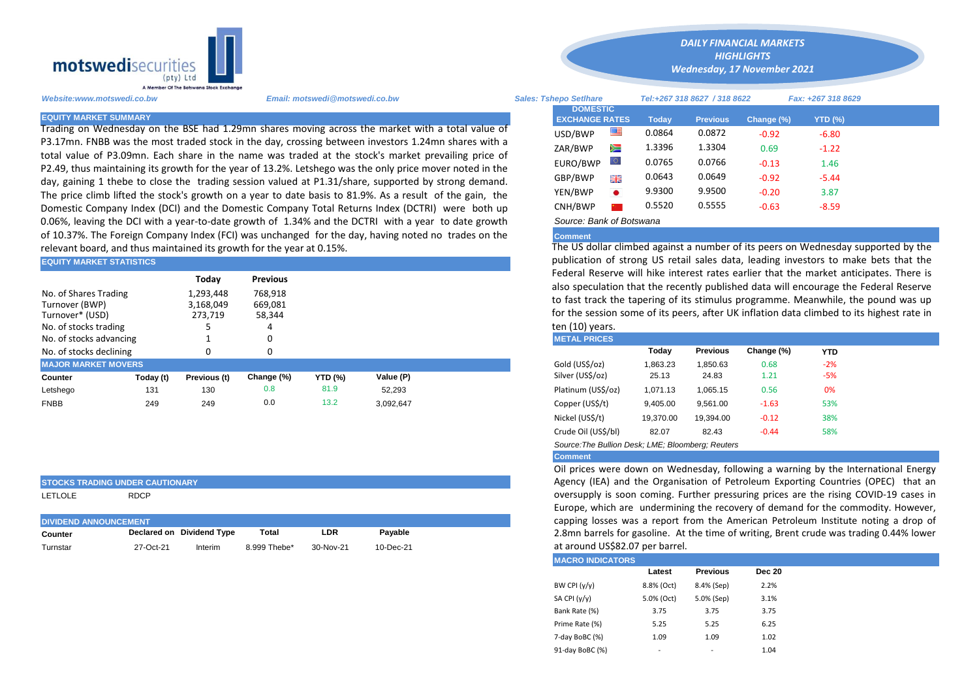

Trading on Wednesday on the BSE had 1.29mn shares moving across the market with a total value of P3.17mn. FNBB was the most traded stock in the day, crossing between investors 1.24mn shares with a total value of P3.09mn. Each share in the name was traded at the stock's market prevailing price of P2.49, thus maintaining its growth for the year of 13.2%. Letshego was the only price mover noted in the day, gaining 1 thebe to close the trading session valued at P1.31/share, supported by strong demand. The price climb lifted the stock's growth on a year to date basis to 81.9%. As a result of the gain, the Domestic Company Index (DCI) and the Domestic Company Total Returns Index (DCTRI) were both up 0.06%, leaving the DCI with a year-to-date growth of 1.34% and the DCTRI with a year to date growth of 10.37%. The Foreign Company Index (FCI) was unchanged for the day, having noted no trades on the relevant board, and thus maintained its growth for the year at 0.15%.

| <b>EQUITY MARKET STATISTICS</b>                                                     |           |                                   |                              |                |           |  | publication of strong US retail sales data, leading investors to make                                                                                                                                                                            |          |                 |            |            |  |  |  |
|-------------------------------------------------------------------------------------|-----------|-----------------------------------|------------------------------|----------------|-----------|--|--------------------------------------------------------------------------------------------------------------------------------------------------------------------------------------------------------------------------------------------------|----------|-----------------|------------|------------|--|--|--|
|                                                                                     |           | Today                             | <b>Previous</b>              |                |           |  | Federal Reserve will hike interest rates earlier that the market antic                                                                                                                                                                           |          |                 |            |            |  |  |  |
| No. of Shares Trading<br>Turnover (BWP)<br>Turnover* (USD)<br>No. of stocks trading |           | 1,293,448<br>3,168,049<br>273,719 | 768,918<br>669,081<br>58,344 |                |           |  | also speculation that the recently published data will encourage the F<br>to fast track the tapering of its stimulus programme. Meanwhile, the<br>for the session some of its peers, after UK inflation data climbed to its<br>ten $(10)$ years. |          |                 |            |            |  |  |  |
| No. of stocks advancing                                                             |           |                                   |                              |                |           |  | <b>METAL PRICES</b>                                                                                                                                                                                                                              |          |                 |            |            |  |  |  |
| No. of stocks declining                                                             |           |                                   | 0                            |                |           |  |                                                                                                                                                                                                                                                  | Today    | <b>Previous</b> | Change (%) | <b>YTD</b> |  |  |  |
| <b>MAJOR MARKET MOVERS</b>                                                          |           |                                   |                              |                |           |  | Gold (US\$/oz)                                                                                                                                                                                                                                   | 1,863.23 | 1.850.63        | 0.68       | $-2%$      |  |  |  |
| Counter                                                                             | Today (t) | Previous (t)                      | Change (%)                   | <b>YTD (%)</b> | Value (P) |  | Silver (US\$/oz)                                                                                                                                                                                                                                 | 25.13    | 24.83           | 1.21       | $-5%$      |  |  |  |
| Letshego                                                                            | 131       | 130                               | 0.8                          | 81.9           | 52.293    |  | Platinum (US\$/oz)                                                                                                                                                                                                                               | 1.071.13 | 1,065.15        | 0.56       | 0%         |  |  |  |
| <b>FNBB</b>                                                                         | 249       | 249                               | 0.0                          | 13.2           | 3,092,647 |  | Copper (US\$/t)                                                                                                                                                                                                                                  | 9,405.00 | 9,561.00        | $-1.63$    | 53%        |  |  |  |

## **STOCKS TRADING UNDER CAUTIONARY**

LETLOLE RDCP

| <b>IDIVIDEND ANNOUNCEMENT</b> |           |                           |              |           |               |  |  |
|-------------------------------|-----------|---------------------------|--------------|-----------|---------------|--|--|
| Counter                       |           | Declared on Dividend Type | Total        | LDR       | Pavable       |  |  |
| Turnstar                      | 27-Oct-21 | Interim                   | 8.999 Thebe* | 30-Nov-21 | $10 - Dec-21$ |  |  |

*Website:www.motswedi.co.bw Email: motswedi@motswedi.co.bw Sales: Tshepo Setlhare Tel:+267 318 8627 / 318 8622 Fax: +267 318 8629*  **EQUITY MARKET SUMMARY Today Previous Change (%) YTD (%)**  $\text{USD/BWP}$   $\blacksquare$  0.0864 0.0872 -0.92 -6.80 ZAR/BWP 2 1.3396 1.3304 0.69 -1.22 EURO/BWP 0.0765 0.0766 -0.13 1.46 GBP/BWP **EXECUTE:** 0.0643 0.0649 -0.92 -5.44 YEN/BWP 9.9300 9.9500 -0.20 3.87 CNH/BWP **8 0.5520** 0.5555 -0.63 -8.59 **DOMESTIC EXCHANGE RATES**

*DAILY FINANCIAL MARKETS HIGHLIGHTS Wednesday, 17 November 2021* 

# *Source: Bank of Botswana*

# **Comment**

The US dollar climbed against a number of its peers on Wednesday supported by the publication of strong US retail sales data, leading investors to make bets that the Federal Reserve will hike interest rates earlier that the market anticipates. There is also speculation that the recently published data will encourage the Federal Reserve to fast track the tapering of its stimulus programme. Meanwhile, the pound was up for the session some of its peers, after UK inflation data climbed to its highest rate in ten (10) years.

| <b>METAL PRICES</b> |           |                 |            |       |  |
|---------------------|-----------|-----------------|------------|-------|--|
|                     | Today     | <b>Previous</b> | Change (%) | YTD   |  |
| Gold (US\$/oz)      | 1,863.23  | 1,850.63        | 0.68       | $-2%$ |  |
| Silver (US\$/oz)    | 25.13     | 24.83           | 1.21       | -5%   |  |
| Platinum (US\$/oz)  | 1,071.13  | 1,065.15        | 0.56       | 0%    |  |
| Copper (US\$/t)     | 9,405.00  | 9,561.00        | $-1.63$    | 53%   |  |
| Nickel (US\$/t)     | 19,370.00 | 19.394.00       | $-0.12$    | 38%   |  |
| Crude Oil (US\$/bl) | 82.07     | 82.43           | $-0.44$    | 58%   |  |
|                     |           |                 |            |       |  |

*Source:The Bullion Desk; LME; Bloomberg; Reuters* 

## **Comment**

Oil prices were down on Wednesday, following a warning by the International Energy Agency (IEA) and the Organisation of Petroleum Exporting Countries (OPEC) that an oversupply is soon coming. Further pressuring prices are the rising COVID-19 cases in Europe, which are undermining the recovery of demand for the commodity. However, capping losses was a report from the American Petroleum Institute noting a drop of 2.8mn barrels for gasoline. At the time of writing, Brent crude was trading 0.44% lower at around US\$82.07 per barrel.

#### **MACRO INDICATORS**

| <b>MAGNO INDIGATONS</b> |            |                 |               |
|-------------------------|------------|-----------------|---------------|
|                         | Latest     | <b>Previous</b> | <b>Dec 20</b> |
| BW CPI $(y/y)$          | 8.8% (Oct) | 8.4% (Sep)      | 2.2%          |
| SA CPI (y/y)            | 5.0% (Oct) | 5.0% (Sep)      | 3.1%          |
| Bank Rate (%)           | 3.75       | 3.75            | 3.75          |
| Prime Rate (%)          | 5.25       | 5.25            | 6.25          |
| 7-day BoBC (%)          | 1.09       | 1.09            | 1.02          |
| 91-day BoBC (%)         |            |                 | 1.04          |
|                         |            |                 |               |